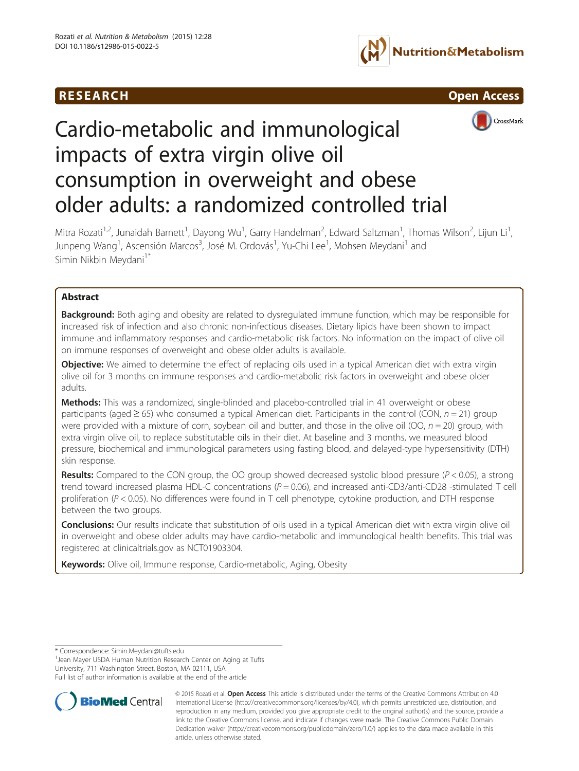## **RESEARCH CHEAR CHEAR CHEAR CHEAR CHEAR CHEAR CHEAR CHEAR CHEAR CHEAR CHEAR CHEAR CHEAR CHEAR CHEAR CHEAR CHEAR**







# Cardio-metabolic and immunological impacts of extra virgin olive oil consumption in overweight and obese older adults: a randomized controlled trial

Mitra Rozati<sup>1,2</sup>, Junaidah Barnett<sup>1</sup>, Dayong Wu<sup>1</sup>, Garry Handelman<sup>2</sup>, Edward Saltzman<sup>1</sup>, Thomas Wilson<sup>2</sup>, Lijun Li<sup>1</sup> , Junpeng Wang<sup>1</sup>, Ascensión Marcos<sup>3</sup>, José M. Ordovás<sup>1</sup>, Yu-Chi Lee<sup>1</sup>, Mohsen Meydani<sup>1</sup> and Simin Nikbin Meydani<sup>1\*</sup>

### Abstract

**Background:** Both aging and obesity are related to dysregulated immune function, which may be responsible for increased risk of infection and also chronic non-infectious diseases. Dietary lipids have been shown to impact immune and inflammatory responses and cardio-metabolic risk factors. No information on the impact of olive oil on immune responses of overweight and obese older adults is available.

**Objective:** We aimed to determine the effect of replacing oils used in a typical American diet with extra virgin olive oil for 3 months on immune responses and cardio-metabolic risk factors in overweight and obese older adults.

Methods: This was a randomized, single-blinded and placebo-controlled trial in 41 overweight or obese participants (aged  $\geq$  65) who consumed a typical American diet. Participants in the control (CON,  $n = 21$ ) group were provided with a mixture of corn, soybean oil and butter, and those in the olive oil (OO,  $n = 20$ ) group, with extra virgin olive oil, to replace substitutable oils in their diet. At baseline and 3 months, we measured blood pressure, biochemical and immunological parameters using fasting blood, and delayed-type hypersensitivity (DTH) skin response.

**Results:** Compared to the CON group, the OO group showed decreased systolic blood pressure ( $P < 0.05$ ), a strong trend toward increased plasma HDL-C concentrations  $(P = 0.06)$ , and increased anti-CD3/anti-CD28 -stimulated T cell proliferation ( $P < 0.05$ ). No differences were found in T cell phenotype, cytokine production, and DTH response between the two groups.

Conclusions: Our results indicate that substitution of oils used in a typical American diet with extra virgin olive oil in overweight and obese older adults may have cardio-metabolic and immunological health benefits. This trial was registered at clinicaltrials.gov as NCT01903304.

Keywords: Olive oil, Immune response, Cardio-metabolic, Aging, Obesity

\* Correspondence: [Simin.Meydani@tufts.edu](mailto:Simin.Meydani@tufts.edu) <sup>1</sup>

<sup>1</sup> Jean Mayer USDA Human Nutrition Research Center on Aging at Tufts University, 711 Washington Street, Boston, MA 02111, USA

Full list of author information is available at the end of the article



© 2015 Rozati et al. Open Access This article is distributed under the terms of the Creative Commons Attribution 4.0 International License [\(http://creativecommons.org/licenses/by/4.0](http://creativecommons.org/licenses/by/4.0)), which permits unrestricted use, distribution, and reproduction in any medium, provided you give appropriate credit to the original author(s) and the source, provide a link to the Creative Commons license, and indicate if changes were made. The Creative Commons Public Domain Dedication waiver ([http://creativecommons.org/publicdomain/zero/1.0/\)](http://creativecommons.org/publicdomain/zero/1.0/) applies to the data made available in this article, unless otherwise stated.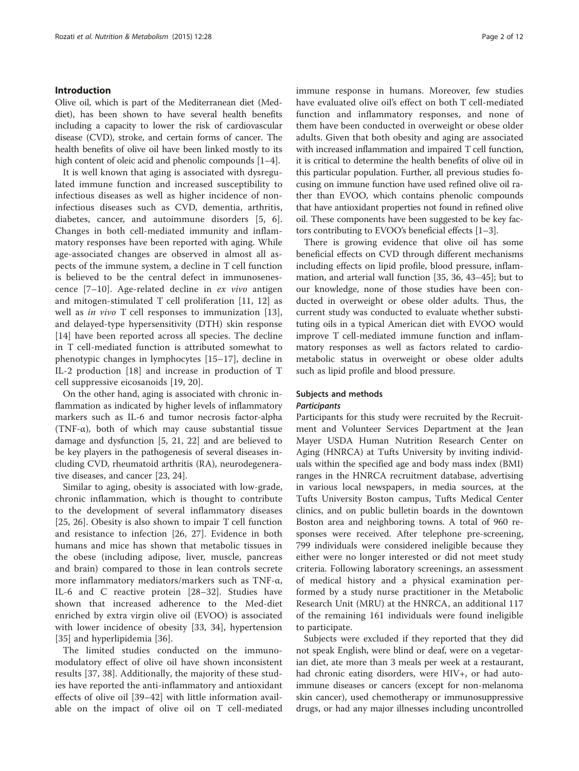### Introduction

Olive oil, which is part of the Mediterranean diet (Meddiet), has been shown to have several health benefits including a capacity to lower the risk of cardiovascular disease (CVD), stroke, and certain forms of cancer. The health benefits of olive oil have been linked mostly to its high content of oleic acid and phenolic compounds [\[1](#page-9-0)–[4](#page-9-0)].

It is well known that aging is associated with dysregulated immune function and increased susceptibility to infectious diseases as well as higher incidence of noninfectious diseases such as CVD, dementia, arthritis, diabetes, cancer, and autoimmune disorders [[5](#page-9-0), [6](#page-9-0)]. Changes in both cell-mediated immunity and inflammatory responses have been reported with aging. While age-associated changes are observed in almost all aspects of the immune system, a decline in T cell function is believed to be the central defect in immunosenescence [[7](#page-9-0)–[10\]](#page-10-0). Age-related decline in ex vivo antigen and mitogen-stimulated T cell proliferation [[11, 12\]](#page-10-0) as well as *in vivo* T cell responses to immunization [\[13](#page-10-0)], and delayed-type hypersensitivity (DTH) skin response [[14\]](#page-10-0) have been reported across all species. The decline in T cell-mediated function is attributed somewhat to phenotypic changes in lymphocytes [[15](#page-10-0)–[17\]](#page-10-0), decline in IL-2 production [[18\]](#page-10-0) and increase in production of T cell suppressive eicosanoids [\[19](#page-10-0), [20\]](#page-10-0).

On the other hand, aging is associated with chronic inflammation as indicated by higher levels of inflammatory markers such as IL-6 and tumor necrosis factor-alpha (TNF- $\alpha$ ), both of which may cause substantial tissue damage and dysfunction [[5,](#page-9-0) [21, 22\]](#page-10-0) and are believed to be key players in the pathogenesis of several diseases including CVD, rheumatoid arthritis (RA), neurodegenerative diseases, and cancer [[23, 24](#page-10-0)].

Similar to aging, obesity is associated with low-grade, chronic inflammation, which is thought to contribute to the development of several inflammatory diseases [[25, 26](#page-10-0)]. Obesity is also shown to impair T cell function and resistance to infection [[26](#page-10-0), [27\]](#page-10-0). Evidence in both humans and mice has shown that metabolic tissues in the obese (including adipose, liver, muscle, pancreas and brain) compared to those in lean controls secrete more inflammatory mediators/markers such as TNF-α, IL-6 and C reactive protein [\[28](#page-10-0)–[32](#page-10-0)]. Studies have shown that increased adherence to the Med-diet enriched by extra virgin olive oil (EVOO) is associated with lower incidence of obesity [\[33](#page-10-0), [34\]](#page-10-0), hypertension [[35\]](#page-10-0) and hyperlipidemia [\[36\]](#page-10-0).

The limited studies conducted on the immunomodulatory effect of olive oil have shown inconsistent results [\[37](#page-10-0), [38](#page-10-0)]. Additionally, the majority of these studies have reported the anti-inflammatory and antioxidant effects of olive oil [[39](#page-10-0)–[42\]](#page-10-0) with little information available on the impact of olive oil on T cell-mediated immune response in humans. Moreover, few studies have evaluated olive oil's effect on both T cell-mediated function and inflammatory responses, and none of them have been conducted in overweight or obese older adults. Given that both obesity and aging are associated with increased inflammation and impaired T cell function, it is critical to determine the health benefits of olive oil in this particular population. Further, all previous studies focusing on immune function have used refined olive oil rather than EVOO, which contains phenolic compounds that have antioxidant properties not found in refined olive oil. These components have been suggested to be key factors contributing to EVOO's beneficial effects [\[1](#page-9-0)–[3\]](#page-9-0).

There is growing evidence that olive oil has some beneficial effects on CVD through different mechanisms including effects on lipid profile, blood pressure, inflammation, and arterial wall function [\[35](#page-10-0), [36](#page-10-0), [43](#page-10-0)–[45](#page-10-0)]; but to our knowledge, none of those studies have been conducted in overweight or obese older adults. Thus, the current study was conducted to evaluate whether substituting oils in a typical American diet with EVOO would improve T cell-mediated immune function and inflammatory responses as well as factors related to cardiometabolic status in overweight or obese older adults such as lipid profile and blood pressure.

### Subjects and methods **Participants**

Participants for this study were recruited by the Recruitment and Volunteer Services Department at the Jean Mayer USDA Human Nutrition Research Center on Aging (HNRCA) at Tufts University by inviting individuals within the specified age and body mass index (BMI) ranges in the HNRCA recruitment database, advertising in various local newspapers, in media sources, at the Tufts University Boston campus, Tufts Medical Center clinics, and on public bulletin boards in the downtown Boston area and neighboring towns. A total of 960 responses were received. After telephone pre-screening, 799 individuals were considered ineligible because they either were no longer interested or did not meet study criteria. Following laboratory screenings, an assessment of medical history and a physical examination performed by a study nurse practitioner in the Metabolic Research Unit (MRU) at the HNRCA, an additional 117 of the remaining 161 individuals were found ineligible to participate.

Subjects were excluded if they reported that they did not speak English, were blind or deaf, were on a vegetarian diet, ate more than 3 meals per week at a restaurant, had chronic eating disorders, were HIV+, or had autoimmune diseases or cancers (except for non-melanoma skin cancer), used chemotherapy or immunosuppressive drugs, or had any major illnesses including uncontrolled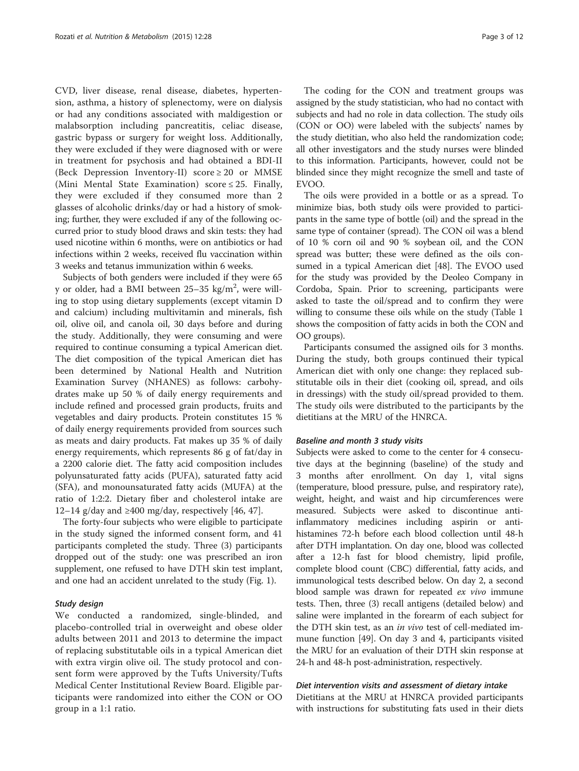CVD, liver disease, renal disease, diabetes, hypertension, asthma, a history of splenectomy, were on dialysis or had any conditions associated with maldigestion or malabsorption including pancreatitis, celiac disease, gastric bypass or surgery for weight loss. Additionally, they were excluded if they were diagnosed with or were in treatment for psychosis and had obtained a BDI-II (Beck Depression Inventory-II) score ≥ 20 or MMSE (Mini Mental State Examination) score ≤ 25. Finally, they were excluded if they consumed more than 2 glasses of alcoholic drinks/day or had a history of smoking; further, they were excluded if any of the following occurred prior to study blood draws and skin tests: they had used nicotine within 6 months, were on antibiotics or had infections within 2 weeks, received flu vaccination within 3 weeks and tetanus immunization within 6 weeks.

Subjects of both genders were included if they were 65 y or older, had a BMI between 25–35 kg/m<sup>2</sup>, were willing to stop using dietary supplements (except vitamin D and calcium) including multivitamin and minerals, fish oil, olive oil, and canola oil, 30 days before and during the study. Additionally, they were consuming and were required to continue consuming a typical American diet. The diet composition of the typical American diet has been determined by National Health and Nutrition Examination Survey (NHANES) as follows: carbohydrates make up 50 % of daily energy requirements and include refined and processed grain products, fruits and vegetables and dairy products. Protein constitutes 15 % of daily energy requirements provided from sources such as meats and dairy products. Fat makes up 35 % of daily energy requirements, which represents 86 g of fat/day in a 2200 calorie diet. The fatty acid composition includes polyunsaturated fatty acids (PUFA), saturated fatty acid (SFA), and monounsaturated fatty acids (MUFA) at the ratio of 1:2:2. Dietary fiber and cholesterol intake are 12–14 g/day and ≥400 mg/day, respectively [[46, 47](#page-10-0)].

The forty-four subjects who were eligible to participate in the study signed the informed consent form, and 41 participants completed the study. Three (3) participants dropped out of the study: one was prescribed an iron supplement, one refused to have DTH skin test implant, and one had an accident unrelated to the study (Fig. [1\)](#page-3-0).

### Study design

We conducted a randomized, single-blinded, and placebo-controlled trial in overweight and obese older adults between 2011 and 2013 to determine the impact of replacing substitutable oils in a typical American diet with extra virgin olive oil. The study protocol and consent form were approved by the Tufts University/Tufts Medical Center Institutional Review Board. Eligible participants were randomized into either the CON or OO group in a 1:1 ratio.

The coding for the CON and treatment groups was assigned by the study statistician, who had no contact with subjects and had no role in data collection. The study oils (CON or OO) were labeled with the subjects' names by the study dietitian, who also held the randomization code; all other investigators and the study nurses were blinded to this information. Participants, however, could not be blinded since they might recognize the smell and taste of EVOO.

The oils were provided in a bottle or as a spread. To minimize bias, both study oils were provided to participants in the same type of bottle (oil) and the spread in the same type of container (spread). The CON oil was a blend of 10 % corn oil and 90 % soybean oil, and the CON spread was butter; these were defined as the oils consumed in a typical American diet [\[48](#page-10-0)]. The EVOO used for the study was provided by the Deoleo Company in Cordoba, Spain. Prior to screening, participants were asked to taste the oil/spread and to confirm they were willing to consume these oils while on the study (Table [1](#page-3-0) shows the composition of fatty acids in both the CON and OO groups).

Participants consumed the assigned oils for 3 months. During the study, both groups continued their typical American diet with only one change: they replaced substitutable oils in their diet (cooking oil, spread, and oils in dressings) with the study oil/spread provided to them. The study oils were distributed to the participants by the dietitians at the MRU of the HNRCA.

#### Baseline and month 3 study visits

Subjects were asked to come to the center for 4 consecutive days at the beginning (baseline) of the study and 3 months after enrollment. On day 1, vital signs (temperature, blood pressure, pulse, and respiratory rate), weight, height, and waist and hip circumferences were measured. Subjects were asked to discontinue antiinflammatory medicines including aspirin or antihistamines 72-h before each blood collection until 48-h after DTH implantation. On day one, blood was collected after a 12-h fast for blood chemistry, lipid profile, complete blood count (CBC) differential, fatty acids, and immunological tests described below. On day 2, a second blood sample was drawn for repeated *ex vivo* immune tests. Then, three (3) recall antigens (detailed below) and saline were implanted in the forearm of each subject for the DTH skin test, as an in vivo test of cell-mediated immune function [[49](#page-10-0)]. On day 3 and 4, participants visited the MRU for an evaluation of their DTH skin response at 24-h and 48-h post-administration, respectively.

### Diet intervention visits and assessment of dietary intake

Dietitians at the MRU at HNRCA provided participants with instructions for substituting fats used in their diets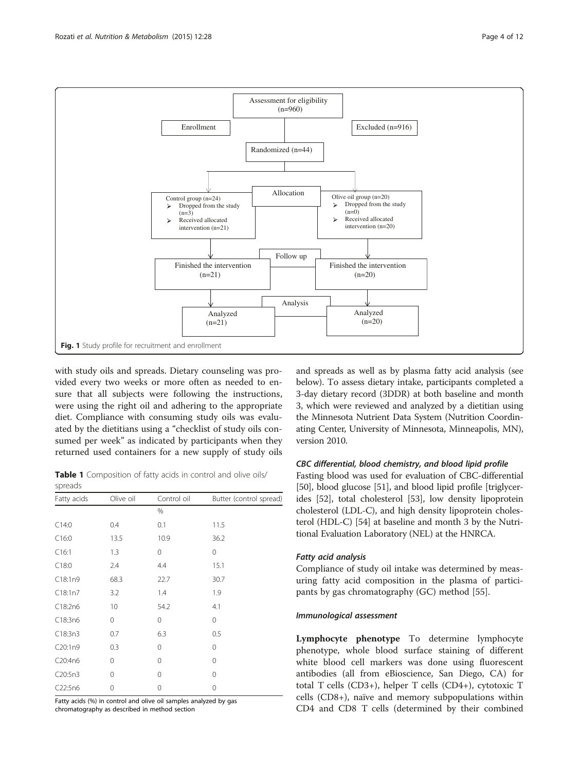

<span id="page-3-0"></span>

with study oils and spreads. Dietary counseling was provided every two weeks or more often as needed to ensure that all subjects were following the instructions, were using the right oil and adhering to the appropriate diet. Compliance with consuming study oils was evaluated by the dietitians using a "checklist of study oils consumed per week" as indicated by participants when they returned used containers for a new supply of study oils

Table 1 Composition of fatty acids in control and olive oils/ spreads

| Fatty acids | Olive oil | Control oil | Butter (control spread) |
|-------------|-----------|-------------|-------------------------|
|             |           | %           |                         |
| C14:0       | 0.4       | 0.1         | 11.5                    |
| C16:0       | 13.5      | 10.9        | 36.2                    |
| C16:1       | 1.3       | 0           | 0                       |
| C18:0       | 2.4       | 4.4         | 15.1                    |
| C18:1n9     | 68.3      | 22.7        | 30.7                    |
| C18:1n7     | 3.2       | 1.4         | 1.9                     |
| C18:2n6     | 10        | 54.2        | 4.1                     |
| C18:3n6     | 0         | 0           | 0                       |
| C18:3n3     | 0.7       | 6.3         | 0.5                     |
| C20:1n9     | 0.3       | 0           | 0                       |
| C20:4n6     | 0         | 0           | 0                       |
| C20:5n3     | 0         | 0           | 0                       |
| C22:5n6     | 0         | 0           | 0                       |

Fatty acids (%) in control and olive oil samples analyzed by gas chromatography as described in method section

and spreads as well as by plasma fatty acid analysis (see below). To assess dietary intake, participants completed a 3-day dietary record (3DDR) at both baseline and month 3, which were reviewed and analyzed by a dietitian using the Minnesota Nutrient Data System (Nutrition Coordinating Center, University of Minnesota, Minneapolis, MN), version 2010.

### CBC differential, blood chemistry, and blood lipid profile

Fasting blood was used for evaluation of CBC-differential [[50](#page-10-0)], blood glucose [[51](#page-10-0)], and blood lipid profile [triglycerides [\[52\]](#page-10-0), total cholesterol [\[53](#page-11-0)], low density lipoprotein cholesterol (LDL-C), and high density lipoprotein cholesterol (HDL-C) [[54](#page-11-0)] at baseline and month 3 by the Nutritional Evaluation Laboratory (NEL) at the HNRCA.

### Fatty acid analysis

Compliance of study oil intake was determined by measuring fatty acid composition in the plasma of participants by gas chromatography (GC) method [\[55\]](#page-11-0).

### Immunological assessment

Lymphocyte phenotype To determine lymphocyte phenotype, whole blood surface staining of different white blood cell markers was done using fluorescent antibodies (all from eBioscience, San Diego, CA) for total T cells (CD3+), helper T cells (CD4+), cytotoxic T cells (CD8+), naïve and memory subpopulations within CD4 and CD8 T cells (determined by their combined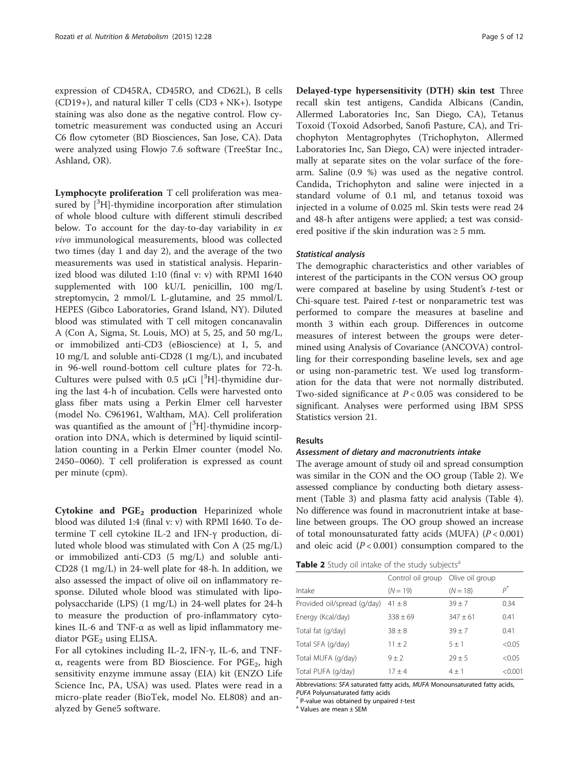expression of CD45RA, CD45RO, and CD62L), B cells (CD19+), and natural killer T cells (CD3 + NK+). Isotype staining was also done as the negative control. Flow cytometric measurement was conducted using an Accuri C6 flow cytometer (BD Biosciences, San Jose, CA). Data were analyzed using Flowjo 7.6 software (TreeStar Inc., Ashland, OR).

Lymphocyte proliferation T cell proliferation was measured by  $[{}^{3}H]$ -thymidine incorporation after stimulation of whole blood culture with different stimuli described below. To account for the day-to-day variability in ex vivo immunological measurements, blood was collected two times (day 1 and day 2), and the average of the two measurements was used in statistical analysis. Heparinized blood was diluted 1:10 (final v: v) with RPMI 1640 supplemented with 100 kU/L penicillin, 100 mg/L streptomycin, 2 mmol/L L-glutamine, and 25 mmol/L HEPES (Gibco Laboratories, Grand Island, NY). Diluted blood was stimulated with T cell mitogen concanavalin A (Con A, Sigma, St. Louis, MO) at 5, 25, and 50 mg/L, or immobilized anti-CD3 (eBioscience) at 1, 5, and 10 mg/L and soluble anti-CD28 (1 mg/L), and incubated in 96-well round-bottom cell culture plates for 72-h. Cultures were pulsed with 0.5  $\mu$ Ci [<sup>3</sup>H]-thymidine during the last 4-h of incubation. Cells were harvested onto glass fiber mats using a Perkin Elmer cell harvester (model No. C961961, Waltham, MA). Cell proliferation was quantified as the amount of  $[^3H]$ -thymidine incorporation into DNA, which is determined by liquid scintillation counting in a Perkin Elmer counter (model No. 2450–0060). T cell proliferation is expressed as count per minute (cpm).

Cytokine and  $PGE<sub>2</sub>$  production Heparinized whole blood was diluted 1:4 (final v: v) with RPMI 1640. To determine T cell cytokine IL-2 and IFN-γ production, diluted whole blood was stimulated with Con A (25 mg/L) or immobilized anti-CD3 (5 mg/L) and soluble anti-CD28 (1 mg/L) in 24-well plate for 48-h. In addition, we also assessed the impact of olive oil on inflammatory response. Diluted whole blood was stimulated with lipopolysaccharide (LPS) (1 mg/L) in 24-well plates for 24-h to measure the production of pro-inflammatory cytokines IL-6 and TNF- $\alpha$  as well as lipid inflammatory mediator  $PGE<sub>2</sub>$  using ELISA.

For all cytokines including IL-2, IFN-γ, IL-6, and TNFα, reagents were from BD Bioscience. For  $PGE_2$ , high sensitivity enzyme immune assay (EIA) kit (ENZO Life Science Inc, PA, USA) was used. Plates were read in a micro-plate reader (BioTek, model No. EL808) and analyzed by Gene5 software.

Delayed-type hypersensitivity (DTH) skin test Three recall skin test antigens, Candida Albicans (Candin, Allermed Laboratories Inc, San Diego, CA), Tetanus Toxoid (Toxoid Adsorbed, Sanofi Pasture, CA), and Trichophyton Mentagrophytes (Trichophyton, Allermed Laboratories Inc, San Diego, CA) were injected intradermally at separate sites on the volar surface of the forearm. Saline (0.9 %) was used as the negative control. Candida, Trichophyton and saline were injected in a standard volume of 0.1 ml, and tetanus toxoid was injected in a volume of 0.025 ml. Skin tests were read 24 and 48-h after antigens were applied; a test was considered positive if the skin induration was  $\geq$  5 mm.

### Statistical analysis

The demographic characteristics and other variables of interest of the participants in the CON versus OO group were compared at baseline by using Student's t-test or Chi-square test. Paired t-test or nonparametric test was performed to compare the measures at baseline and month 3 within each group. Differences in outcome measures of interest between the groups were determined using Analysis of Covariance (ANCOVA) controlling for their corresponding baseline levels, sex and age or using non-parametric test. We used log transformation for the data that were not normally distributed. Two-sided significance at  $P < 0.05$  was considered to be significant. Analyses were performed using IBM SPSS Statistics version 21.

### Results

### Assessment of dietary and macronutrients intake

The average amount of study oil and spread consumption was similar in the CON and the OO group (Table 2). We assessed compliance by conducting both dietary assessment (Table [3\)](#page-5-0) and plasma fatty acid analysis (Table [4](#page-5-0)). No difference was found in macronutrient intake at baseline between groups. The OO group showed an increase of total monounsaturated fatty acids (MUFA)  $(P < 0.001)$ and oleic acid  $(P < 0.001)$  consumption compared to the

|  |  |  |  |  |  | Table 2 Study oil intake of the study subjects <sup>a</sup> |
|--|--|--|--|--|--|-------------------------------------------------------------|
|--|--|--|--|--|--|-------------------------------------------------------------|

|                             | Control oil group Olive oil group |              |         |
|-----------------------------|-----------------------------------|--------------|---------|
| Intake                      | $(N = 19)$                        | $(N = 18)$   | $P^*$   |
| Provided oil/spread (g/day) | $41 + 8$                          | $39 + 7$     | 0.34    |
| Energy (Kcal/day)           | $338 \pm 69$                      | $347 \pm 61$ | 0.41    |
| Total fat (g/day)           | $38 \pm 8$                        | $39 + 7$     | 0.41    |
| Total SFA (g/day)           | $11 \pm 2$                        | $5 \pm 1$    | < 0.05  |
| Total MUFA (g/day)          | $9 \pm 2$                         | $29 \pm 5$   | < 0.05  |
| Total PUFA (g/day)          | $17 + 4$                          | $4 \pm 1$    | < 0.001 |

Abbreviations: SFA saturated fatty acids, MUFA Monounsaturated fatty acids, PUFA Polyunsaturated fatty acids

 $*$  P-value was obtained by unpaired t-test <sup>a</sup> Values are mean ± SEM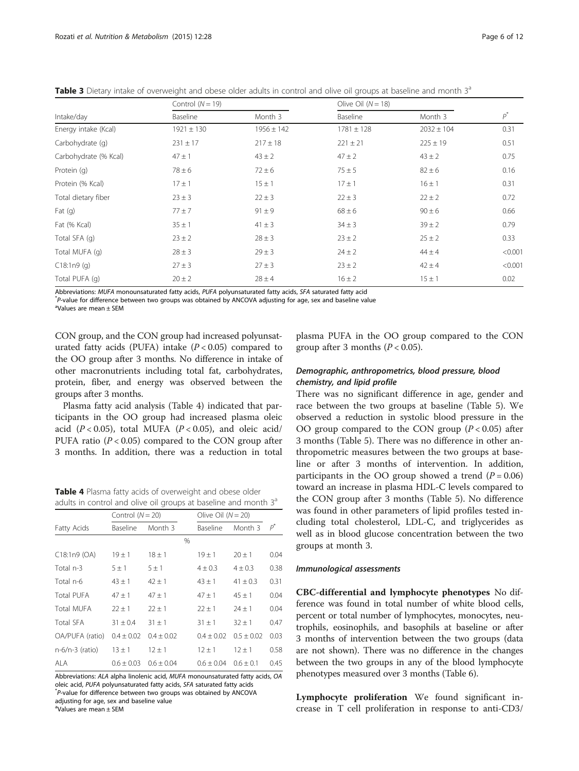|                       | Control $(N = 19)$ |                | Olive Oil $(N = 18)$ |                |         |
|-----------------------|--------------------|----------------|----------------------|----------------|---------|
| Intake/day            | Baseline           | Month 3        | Baseline             | Month 3        | $p^*$   |
| Energy intake (Kcal)  | $1921 \pm 130$     | $1956 \pm 142$ | $1781 \pm 128$       | $2032 \pm 104$ | 0.31    |
| Carbohydrate (q)      | $231 \pm 17$       | $217 \pm 18$   | $221 \pm 21$         | $225 \pm 19$   | 0.51    |
| Carbohydrate (% Kcal) | $47 \pm 1$         | $43 \pm 2$     | $47 \pm 2$           | $43 \pm 2$     | 0.75    |
| Protein (q)           | $78 \pm 6$         | $72 \pm 6$     | $75 \pm 5$           | $82 \pm 6$     | 0.16    |
| Protein (% Kcal)      | $17 \pm 1$         | $15 + 1$       | $17 \pm 1$           | $16 \pm 1$     | 0.31    |
| Total dietary fiber   | $23 \pm 3$         | $22 \pm 3$     | $22 \pm 3$           | $22 \pm 2$     | 0.72    |
| $ext{a}$ (q)          | $77 + 7$           | $91 \pm 9$     | $68 \pm 6$           | $90 \pm 6$     | 0.66    |
| Fat (% Kcal)          | $35 \pm 1$         | $41 \pm 3$     | $34 \pm 3$           | $39 \pm 2$     | 0.79    |
| Total SFA (q)         | $23 \pm 2$         | $28 \pm 3$     | $23 \pm 2$           | $25 \pm 2$     | 0.33    |
| Total MUFA (q)        | $28 \pm 3$         | $29 \pm 3$     | $24 \pm 2$           | $44 \pm 4$     | < 0.001 |
| $C18:1n9$ (g)         | $27 \pm 3$         | $27 \pm 3$     | $23 \pm 2$           | $42 \pm 4$     | < 0.001 |
| Total PUFA (g)        | $20 \pm 2$         | $28 \pm 4$     | $16 \pm 2$           | $15 \pm 1$     | 0.02    |

<span id="page-5-0"></span>Table 3 Dietary intake of overweight and obese older adults in control and olive oil groups at baseline and month 3<sup>a</sup>

Abbreviations: MUFA monounsaturated fatty acids, PUFA polyunsaturated fatty acids, SFA saturated fatty acid \*

\*P-value for difference between two groups was obtained by ANCOVA adjusting for age, sex and baseline value

Values are mean ± SEM

CON group, and the CON group had increased polyunsaturated fatty acids (PUFA) intake  $(P < 0.05)$  compared to the OO group after 3 months. No difference in intake of other macronutrients including total fat, carbohydrates, protein, fiber, and energy was observed between the groups after 3 months.

Plasma fatty acid analysis (Table 4) indicated that participants in the OO group had increased plasma oleic acid  $(P < 0.05)$ , total MUFA  $(P < 0.05)$ , and oleic acid/ PUFA ratio ( $P < 0.05$ ) compared to the CON group after 3 months. In addition, there was a reduction in total

Table 4 Plasma fatty acids of overweight and obese older adults in control and olive oil groups at baseline and month 3<sup>a</sup>

|                   | Control $(N = 20)$ |                |      | Olive Oil $(N = 20)$ |                |       |
|-------------------|--------------------|----------------|------|----------------------|----------------|-------|
| Fatty Acids       | Baseline           | Month 3        |      | <b>Baseline</b>      | Month 3        | $p^*$ |
|                   |                    |                | $\%$ |                      |                |       |
| C18:1n9 (OA)      | $19 \pm 1$         | $18 \pm 1$     |      | $19 + 1$             | $20 \pm 1$     | 0.04  |
| Total n-3         | $5 \pm 1$          | $5 \pm 1$      |      | $4 \pm 0.3$          | $4 \pm 0.3$    | 0.38  |
| Total n-6         | $43 \pm 1$         | $42 \pm 1$     |      | $43 \pm 1$           | $41 + 0.3$     | 0.31  |
| <b>Total PUFA</b> | $47 \pm 1$         | $47 \pm 1$     |      | $47 \pm 1$           | $45 \pm 1$     | 0.04  |
| <b>Total MUFA</b> | $22 + 1$           | $22 + 1$       |      | $22 + 1$             | $74 + 1$       | 0.04  |
| <b>Total SFA</b>  | $31 \pm 0.4$       | $31 + 1$       |      | $31 \pm 1$           | $32 \pm 1$     | 0.47  |
| OA/PUFA (ratio)   | $0.4 \pm 0.02$     | $0.4 \pm 0.02$ |      | $0.4 \pm 0.02$       | $0.5 \pm 0.02$ | 0.03  |
| $n-6/n-3$ (ratio) | $13 \pm 1$         | $12 \pm 1$     |      | $12 + 1$             | $12 + 1$       | 0.58  |
| <b>ALA</b>        | $0.6 \pm 0.03$     | $0.6 \pm 0.04$ |      | $0.6 \pm 0.04$       | $0.6 + 0.1$    | 0.45  |

Abbreviations: ALA alpha linolenic acid, MUFA monounsaturated fatty acids, OA oleic acid, PUFA polyunsaturated fatty acids, SFA saturated fatty acids \* P-value for difference between two groups was obtained by ANCOVA adjusting for age, sex and baseline value

a Values are mean ± SEM

plasma PUFA in the OO group compared to the CON group after 3 months ( $P < 0.05$ ).

### Demographic, anthropometrics, blood pressure, blood chemistry, and lipid profile

There was no significant difference in age, gender and race between the two groups at baseline (Table [5\)](#page-6-0). We observed a reduction in systolic blood pressure in the OO group compared to the CON group  $(P< 0.05)$  after 3 months (Table [5\)](#page-6-0). There was no difference in other anthropometric measures between the two groups at baseline or after 3 months of intervention. In addition, participants in the OO group showed a trend  $(P = 0.06)$ toward an increase in plasma HDL-C levels compared to the CON group after 3 months (Table [5](#page-6-0)). No difference was found in other parameters of lipid profiles tested including total cholesterol, LDL-C, and triglycerides as well as in blood glucose concentration between the two groups at month 3.

#### Immunological assessments

CBC-differential and lymphocyte phenotypes No difference was found in total number of white blood cells, percent or total number of lymphocytes, monocytes, neutrophils, eosinophils, and basophils at baseline or after 3 months of intervention between the two groups (data are not shown). There was no difference in the changes between the two groups in any of the blood lymphocyte phenotypes measured over 3 months (Table [6](#page-6-0)).

Lymphocyte proliferation We found significant increase in T cell proliferation in response to anti-CD3/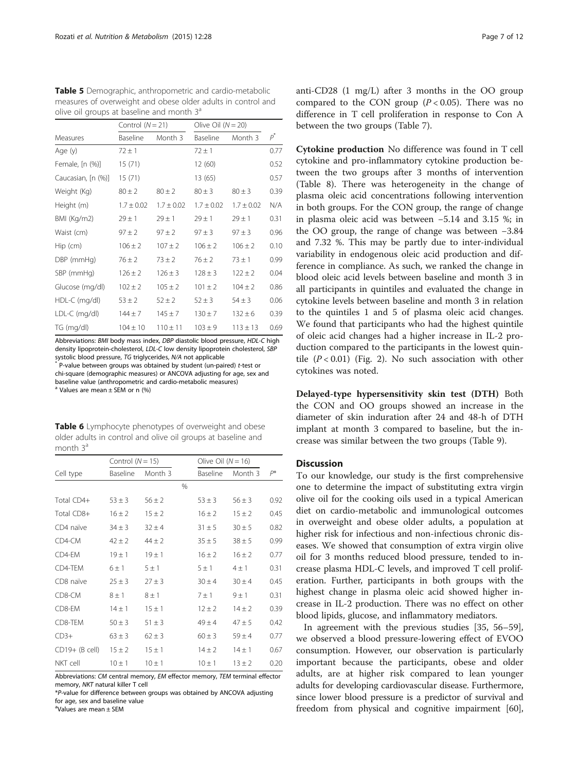| measures of overweight and obese older adults in control and<br>olive oil groups at baseline and month 3 <sup>ª</sup> |                    |              |                      |              |       |  |  |  |
|-----------------------------------------------------------------------------------------------------------------------|--------------------|--------------|----------------------|--------------|-------|--|--|--|
|                                                                                                                       | Control $(N = 21)$ |              | Olive Oil $(N = 20)$ |              |       |  |  |  |
| <b>Measures</b>                                                                                                       | <b>Baseline</b>    | Month 3      | <b>Baseline</b>      | Month 3      | $P^*$ |  |  |  |
| Age (y)                                                                                                               | $72 \pm 1$         |              | $72 \pm 1$           |              | 0.77  |  |  |  |
| Female, [n (%)]                                                                                                       | 15 (71)            |              | 12 (60)              |              | 0.52  |  |  |  |
| Caucasian, [n (%)]                                                                                                    | 15(71)             |              | 13 (65)              |              | 0.57  |  |  |  |
| Weight (Kg)                                                                                                           | $80 \pm 2$         | $80 \pm 2$   | $80 \pm 3$           | $80 \pm 3$   | 0.39  |  |  |  |
| Height (m)                                                                                                            | $1.7 \pm 0.02$     | $1.7 + 0.02$ | $1.7 + 0.02$         | $1.7 + 0.02$ | N/A   |  |  |  |
| BMI (Kg/m2)                                                                                                           | $29 \pm 1$         | $29 \pm 1$   | $29 \pm 1$           | $29 \pm 1$   | 0.31  |  |  |  |
| Waist (cm)                                                                                                            | $97 \pm 2$         | $97 \pm 2$   | $97 \pm 3$           | $97 + 3$     | 0.96  |  |  |  |
| $Hip$ (cm)                                                                                                            | $106 \pm 2$        | $107 \pm 2$  | $106 \pm 2$          | $106 \pm 2$  | 0.10  |  |  |  |
| DBP (mmHg)                                                                                                            | $76 \pm 2$         | $73 \pm 2$   | $76 \pm 2$           | $73 \pm 1$   | 0.99  |  |  |  |
| SBP (mmHg)                                                                                                            | $126 \pm 2$        | $126 \pm 3$  | $128 \pm 3$          | $122 \pm 2$  | 0.04  |  |  |  |
| Glucose (mg/dl)                                                                                                       | $102 \pm 2$        | $105 \pm 2$  | $101 \pm 2$          | $104 \pm 2$  | 0.86  |  |  |  |

<span id="page-6-0"></span>Table 5 Demographic, anthropometric and cardio-metabolic measures of overweight and obese older adults in control and

TG (mg/dl)  $104 \pm 10$   $110 \pm 11$   $103 \pm 9$   $113 \pm 13$  0.69 Abbreviations: BMI body mass index, DBP diastolic blood pressure, HDL-C high density lipoprotein-cholesterol, LDL-C low density lipoprotein cholesterol, SBP<br>systolic blood pressure, TG triglycerides, N/A not applicable

HDL-C (mg/dl)  $53 \pm 2$   $52 \pm 2$   $52 \pm 3$   $54 \pm 3$  0.06 LDL-C (mg/dl)  $144 \pm 7$   $145 \pm 7$   $130 \pm 7$   $132 \pm 6$  0.39

P-value between groups was obtained by student (un-paired) t-test or chi-square (demographic measures) or ANCOVA adjusting for age, sex and baseline value (anthropometric and cardio-metabolic measures) <sup>a</sup> Values are mean  $\pm$  SEM or n (%)

Table 6 Lymphocyte phenotypes of overweight and obese older adults in control and olive oil groups at baseline and month  $3<sup>a</sup>$ 

|                  | Control $(N = 15)$ |            |               |            | Olive Oil $(N = 16)$ |       |
|------------------|--------------------|------------|---------------|------------|----------------------|-------|
| Cell type        | Baseline           | Month 3    |               | Baseline   | Month 3              | $P^*$ |
|                  |                    |            | $\frac{0}{0}$ |            |                      |       |
| Total CD4+       | $53 \pm 3$         | $56 \pm 2$ |               | $53 \pm 3$ | $56 \pm 3$           | 0.92  |
| Total CD8+       | $16 \pm 2$         | $15 \pm 2$ |               | $16 \pm 2$ | $15 \pm 2$           | 0.45  |
| CD4 naïve        | $34 \pm 3$         | $32 \pm 4$ |               | $31 \pm 5$ | $30 \pm 5$           | 0.82  |
| CD4-CM           | $42 \pm 2$         | $44 \pm 2$ |               | $35 \pm 5$ | $38 + 5$             | 0.99  |
| CD4-EM           | $19 \pm 1$         | $19 \pm 1$ |               | $16 \pm 2$ | $16 \pm 2$           | 0.77  |
| CD4-TEM          | $6 + 1$            | $5 \pm 1$  |               | $5 \pm 1$  | $4 \pm 1$            | 0.31  |
| CD8 naïve        | $25 \pm 3$         | $27 \pm 3$ |               | $30 \pm 4$ | $30 \pm 4$           | 0.45  |
| CD8-CM           | $8 \pm 1$          | $8 \pm 1$  |               | $7 \pm 1$  | $9 \pm 1$            | 0.31  |
| CD8-EM           | $14 \pm 1$         | $15 \pm 1$ |               | $12 \pm 2$ | $14 \pm 2$           | 0.39  |
| CD8-TEM          | $50 \pm 3$         | $51 \pm 3$ |               | $49 \pm 4$ | $47 \pm 5$           | 0.42  |
| $CD3+$           | $63 \pm 3$         | $62 \pm 3$ |               | $60 \pm 3$ | $59 + 4$             | 0.77  |
| $CD19+$ (B cell) | $15 \pm 2$         | $15 \pm 1$ |               | $14 \pm 2$ | $14 \pm 1$           | 0.67  |
| NKT cell         | $10 \pm 1$         | $10 \pm 1$ |               | $10 \pm 1$ | $13 \pm 2$           | 0.20  |

Abbreviations: CM central memory, EM effector memory, TEM terminal effector memory, NKT natural killer T cell

\*P-value for difference between groups was obtained by ANCOVA adjusting for age, sex and baseline value

a Values are mean ± SEM

anti-CD28 (1 mg/L) after 3 months in the OO group compared to the CON group  $(P < 0.05)$ . There was no difference in T cell proliferation in response to Con A between the two groups (Table [7](#page-7-0)).

Cytokine production No difference was found in T cell cytokine and pro-inflammatory cytokine production between the two groups after 3 months of intervention (Table [8\)](#page-7-0). There was heterogeneity in the change of plasma oleic acid concentrations following intervention in both groups. For the CON group, the range of change in plasma oleic acid was between −5.14 and 3.15 %; in the OO group, the range of change was between −3.84 and 7.32 %. This may be partly due to inter-individual variability in endogenous oleic acid production and difference in compliance. As such, we ranked the change in blood oleic acid levels between baseline and month 3 in all participants in quintiles and evaluated the change in cytokine levels between baseline and month 3 in relation to the quintiles 1 and 5 of plasma oleic acid changes. We found that participants who had the highest quintile of oleic acid changes had a higher increase in IL-2 production compared to the participants in the lowest quintile  $(P < 0.01)$  (Fig. [2\)](#page-8-0). No such association with other cytokines was noted.

Delayed-type hypersensitivity skin test (DTH) Both the CON and OO groups showed an increase in the diameter of skin induration after 24 and 48-h of DTH implant at month 3 compared to baseline, but the increase was similar between the two groups (Table [9](#page-8-0)).

### **Discussion**

To our knowledge, our study is the first comprehensive one to determine the impact of substituting extra virgin olive oil for the cooking oils used in a typical American diet on cardio-metabolic and immunological outcomes in overweight and obese older adults, a population at higher risk for infectious and non-infectious chronic diseases. We showed that consumption of extra virgin olive oil for 3 months reduced blood pressure, tended to increase plasma HDL-C levels, and improved T cell proliferation. Further, participants in both groups with the highest change in plasma oleic acid showed higher increase in IL-2 production. There was no effect on other blood lipids, glucose, and inflammatory mediators.

In agreement with the previous studies [[35,](#page-10-0) [56](#page-11-0)–[59](#page-11-0)], we observed a blood pressure-lowering effect of EVOO consumption. However, our observation is particularly important because the participants, obese and older adults, are at higher risk compared to lean younger adults for developing cardiovascular disease. Furthermore, since lower blood pressure is a predictor of survival and freedom from physical and cognitive impairment [[60](#page-11-0)],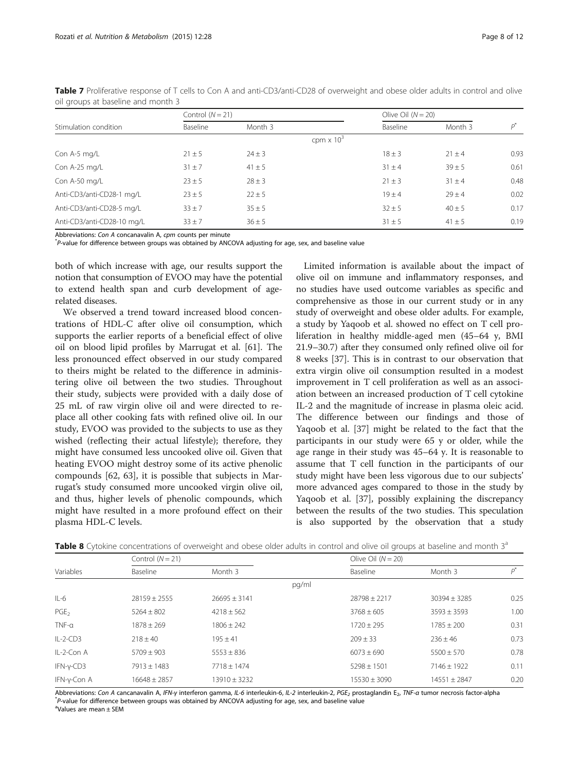|                            | Control $(N = 21)$ |            |                              | Olive Oil $(N = 20)$ |            |      |
|----------------------------|--------------------|------------|------------------------------|----------------------|------------|------|
| Stimulation condition      | Baseline           | Month 3    |                              | Baseline             | Month 3    |      |
|                            |                    |            | cpm $\times$ 10 <sup>3</sup> |                      |            |      |
| Con A-5 mg/L               | $21 \pm 5$         | $24 \pm 3$ |                              | $18 \pm 3$           | $21 \pm 4$ | 0.93 |
| Con A-25 mg/L              | $31 + 7$           | $41 \pm 5$ |                              | $31 + 4$             | $39 + 5$   | 0.61 |
| Con A-50 mg/L              | $23 \pm 5$         | $28 \pm 3$ |                              | $21 \pm 3$           | $31 + 4$   | 0.48 |
| Anti-CD3/anti-CD28-1 mg/L  | $23 \pm 5$         | $22 \pm 5$ |                              | $19 \pm 4$           | $29 \pm 4$ | 0.02 |
| Anti-CD3/anti-CD28-5 mg/L  | $33 + 7$           | $35 \pm 5$ |                              | $32 \pm 5$           | $40 \pm 5$ | 0.17 |
| Anti-CD3/anti-CD28-10 mg/L | $33 \pm 7$         | $36 \pm 5$ |                              | $31 \pm 5$           | $41 \pm 5$ | 0.19 |

<span id="page-7-0"></span>Table 7 Proliferative response of T cells to Con A and anti-CD3/anti-CD28 of overweight and obese older adults in control and olive oil groups at baseline and month 3

Abbreviations: Con A concanavalin A, cpm counts per minute

\*P-value for difference between groups was obtained by ANCOVA adjusting for age, sex, and baseline value

both of which increase with age, our results support the notion that consumption of EVOO may have the potential to extend health span and curb development of agerelated diseases.

We observed a trend toward increased blood concentrations of HDL-C after olive oil consumption, which supports the earlier reports of a beneficial effect of olive oil on blood lipid profiles by Marrugat et al. [[61\]](#page-11-0). The less pronounced effect observed in our study compared to theirs might be related to the difference in administering olive oil between the two studies. Throughout their study, subjects were provided with a daily dose of 25 mL of raw virgin olive oil and were directed to replace all other cooking fats with refined olive oil. In our study, EVOO was provided to the subjects to use as they wished (reflecting their actual lifestyle); therefore, they might have consumed less uncooked olive oil. Given that heating EVOO might destroy some of its active phenolic compounds [\[62](#page-11-0), [63\]](#page-11-0), it is possible that subjects in Marrugat's study consumed more uncooked virgin olive oil, and thus, higher levels of phenolic compounds, which might have resulted in a more profound effect on their plasma HDL-C levels.

Limited information is available about the impact of olive oil on immune and inflammatory responses, and no studies have used outcome variables as specific and comprehensive as those in our current study or in any study of overweight and obese older adults. For example, a study by Yaqoob et al. showed no effect on T cell proliferation in healthy middle-aged men (45–64 y, BMI 21.9–30.7) after they consumed only refined olive oil for 8 weeks [\[37\]](#page-10-0). This is in contrast to our observation that extra virgin olive oil consumption resulted in a modest improvement in T cell proliferation as well as an association between an increased production of T cell cytokine IL-2 and the magnitude of increase in plasma oleic acid. The difference between our findings and those of Yaqoob et al. [\[37\]](#page-10-0) might be related to the fact that the participants in our study were 65 y or older, while the age range in their study was 45–64 y. It is reasonable to assume that T cell function in the participants of our study might have been less vigorous due to our subjects' more advanced ages compared to those in the study by Yaqoob et al. [\[37\]](#page-10-0), possibly explaining the discrepancy between the results of the two studies. This speculation is also supported by the observation that a study

|  |  | Table 8 Cytokine concentrations of overweight and obese older adults in control and olive oil groups at baseline and month 3 <sup>a</sup> |  |
|--|--|-------------------------------------------------------------------------------------------------------------------------------------------|--|
|--|--|-------------------------------------------------------------------------------------------------------------------------------------------|--|

|                    | Control $(N = 21)$ |                  |       | Olive Oil $(N = 20)$ |                  |                |
|--------------------|--------------------|------------------|-------|----------------------|------------------|----------------|
| Variables          | Baseline           | Month 3          |       | Baseline             | Month 3          | $\mathsf{D}^*$ |
|                    |                    |                  | pg/ml |                      |                  |                |
| $IL-6$             | $28159 \pm 2555$   | $76695 + 3141$   |       | $28798 \pm 2217$     | $30394 \pm 3285$ | 0.25           |
| PGE <sub>2</sub>   | $5264 \pm 802$     | $4218 \pm 562$   |       | $3768 \pm 605$       | $3593 \pm 3593$  | 1.00           |
| $TNF-a$            | 1878 ± 269         | $1806 \pm 242$   |       | $1720 \pm 295$       | $1785 \pm 200$   | 0.31           |
| $IL-2-CD3$         | $218 \pm 40$       | $195 \pm 41$     |       | $209 \pm 33$         | $236 \pm 46$     | 0.73           |
| $II - 2$ -Con A    | $5709 + 903$       | $5553 \pm 836$   |       | $6073 + 690$         | $5500 + 570$     | 0.78           |
| IFN- $\gamma$ -CD3 | $7913 + 1483$      | $7718 + 1474$    |       | $5298 \pm 1501$      | $7146 + 1922$    | 0.11           |
| IFN-y-Con A        | $16648 \pm 2857$   | $13910 \pm 3232$ |       | $15530 \pm 3090$     | $14551 \pm 2847$ | 0.20           |

Abbreviations: Con A cancanavalin A, IFN-γ interferon gamma, IL-6 interleukin-6, IL-2 interleukin-2, PGE<sub>2</sub> prostaglandin E<sub>2</sub>, TNF-α tumor necrosis factor-alpha  $\overline{P}$ -value for difference between groups was obtained by ANCOVA adjusting for age, sex, and baseline value

 $a$ Values are mean  $\pm$  SEM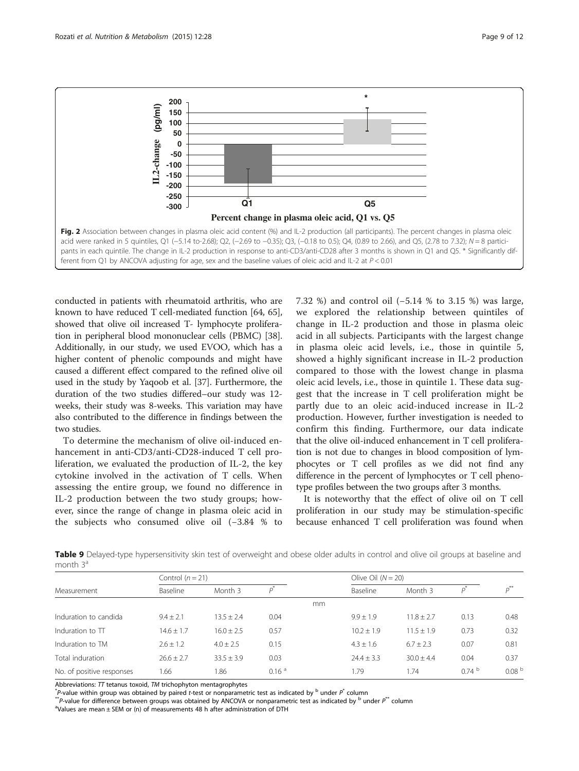<span id="page-8-0"></span>

conducted in patients with rheumatoid arthritis, who are known to have reduced T cell-mediated function [[64](#page-11-0), [65](#page-11-0)], showed that olive oil increased T- lymphocyte proliferation in peripheral blood mononuclear cells (PBMC) [[38](#page-10-0)]. Additionally, in our study, we used EVOO, which has a higher content of phenolic compounds and might have caused a different effect compared to the refined olive oil used in the study by Yaqoob et al. [\[37\]](#page-10-0). Furthermore, the duration of the two studies differed–our study was 12 weeks, their study was 8-weeks. This variation may have also contributed to the difference in findings between the two studies.

To determine the mechanism of olive oil-induced enhancement in anti-CD3/anti-CD28-induced T cell proliferation, we evaluated the production of IL-2, the key cytokine involved in the activation of T cells. When assessing the entire group, we found no difference in IL-2 production between the two study groups; however, since the range of change in plasma oleic acid in the subjects who consumed olive oil (−3.84 % to

7.32 %) and control oil (−5.14 % to 3.15 %) was large, we explored the relationship between quintiles of change in IL-2 production and those in plasma oleic acid in all subjects. Participants with the largest change in plasma oleic acid levels, i.e., those in quintile 5, showed a highly significant increase in IL-2 production compared to those with the lowest change in plasma oleic acid levels, i.e., those in quintile 1. These data suggest that the increase in T cell proliferation might be partly due to an oleic acid-induced increase in IL-2 production. However, further investigation is needed to confirm this finding. Furthermore, our data indicate that the olive oil-induced enhancement in T cell proliferation is not due to changes in blood composition of lymphocytes or T cell profiles as we did not find any difference in the percent of lymphocytes or T cell phenotype profiles between the two groups after 3 months.

It is noteworthy that the effect of olive oil on T cell proliferation in our study may be stimulation-specific because enhanced T cell proliferation was found when

Table 9 Delayed-type hypersensitivity skin test of overweight and obese older adults in control and olive oil groups at baseline and month 3<sup>a</sup>

|                           |                | Control $(n = 21)$ |                   |    | Olive Oil $(N = 20)$ |                |            |                   |
|---------------------------|----------------|--------------------|-------------------|----|----------------------|----------------|------------|-------------------|
| Measurement               | Baseline       | Month 3            | $D^*$             |    | Baseline             | Month 3        |            | $D^{**}$          |
|                           |                |                    |                   | mm |                      |                |            |                   |
| Induration to candida     | $9.4 \pm 2.1$  | $13.5 + 2.4$       | 0.04              |    | $9.9 + 1.9$          | $11.8 \pm 2.7$ | 0.13       | 0.48              |
| Induration to TT          | $14.6 \pm 1.7$ | $16.0 \pm 2.5$     | 0.57              |    | $10.2 + 1.9$         | $11.5 \pm 1.9$ | 0.73       | 0.32              |
| Induration to TM          | $2.6 \pm 1.2$  | $4.0 \pm 2.5$      | 0.15              |    | $4.3 \pm 1.6$        | $6.7 + 2.3$    | 0.07       | 0.81              |
| Total induration          | $26.6 \pm 2.7$ | $33.5 \pm 3.9$     | 0.03              |    | $24.4 \pm 3.3$       | $30.0 \pm 4.4$ | 0.04       | 0.37              |
| No. of positive responses | 1.66           | .86                | 0.16 <sup>a</sup> |    | 1.79                 | .74            | $0.74^{b}$ | 0.08 <sup>b</sup> |
|                           |                |                    |                   |    |                      |                |            |                   |

Abbreviations: TT tetanus toxoid, TM trichophyton mentagrophytes<br><sup>\*</sup>P-value within group was obtained by paired t-test or nonparametric test as indicated by <sup>b</sup> under P<sup>\*</sup> column

\*\*P-value for difference between groups was obtained by ANCOVA or nonparametric test as indicated by <sup>b</sup> under P\*\* column

<sup>a</sup>Values are mean  $\pm$  SEM or (n) of measurements 48 h after administration of DTH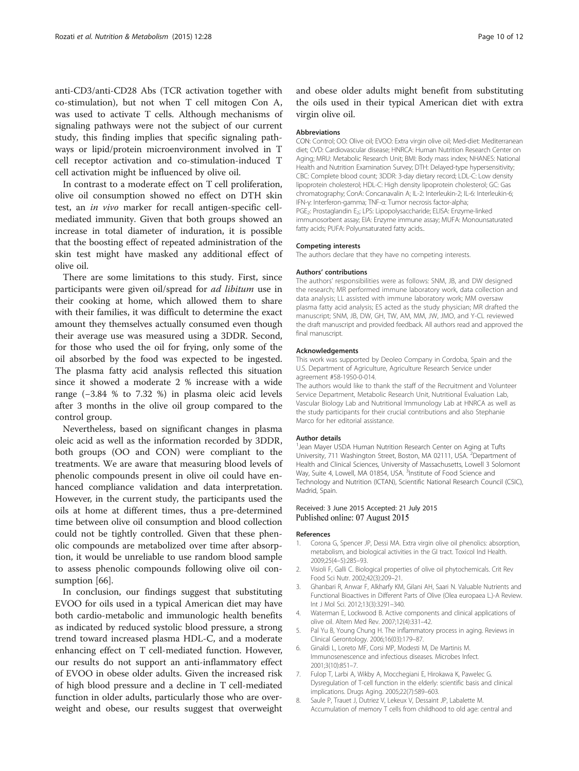<span id="page-9-0"></span>anti-CD3/anti-CD28 Abs (TCR activation together with co-stimulation), but not when T cell mitogen Con A, was used to activate T cells. Although mechanisms of signaling pathways were not the subject of our current study, this finding implies that specific signaling pathways or lipid/protein microenvironment involved in T cell receptor activation and co-stimulation-induced T cell activation might be influenced by olive oil.

In contrast to a moderate effect on T cell proliferation, olive oil consumption showed no effect on DTH skin test, an in vivo marker for recall antigen-specific cellmediated immunity. Given that both groups showed an increase in total diameter of induration, it is possible that the boosting effect of repeated administration of the skin test might have masked any additional effect of olive oil.

There are some limitations to this study. First, since participants were given oil/spread for ad libitum use in their cooking at home, which allowed them to share with their families, it was difficult to determine the exact amount they themselves actually consumed even though their average use was measured using a 3DDR. Second, for those who used the oil for frying, only some of the oil absorbed by the food was expected to be ingested. The plasma fatty acid analysis reflected this situation since it showed a moderate 2 % increase with a wide range (−3.84 % to 7.32 %) in plasma oleic acid levels after 3 months in the olive oil group compared to the control group.

Nevertheless, based on significant changes in plasma oleic acid as well as the information recorded by 3DDR, both groups (OO and CON) were compliant to the treatments. We are aware that measuring blood levels of phenolic compounds present in olive oil could have enhanced compliance validation and data interpretation. However, in the current study, the participants used the oils at home at different times, thus a pre-determined time between olive oil consumption and blood collection could not be tightly controlled. Given that these phenolic compounds are metabolized over time after absorption, it would be unreliable to use random blood sample to assess phenolic compounds following olive oil consumption [[66](#page-11-0)].

In conclusion, our findings suggest that substituting EVOO for oils used in a typical American diet may have both cardio-metabolic and immunologic health benefits as indicated by reduced systolic blood pressure, a strong trend toward increased plasma HDL-C, and a moderate enhancing effect on T cell-mediated function. However, our results do not support an anti-inflammatory effect of EVOO in obese older adults. Given the increased risk of high blood pressure and a decline in T cell-mediated function in older adults, particularly those who are overweight and obese, our results suggest that overweight

and obese older adults might benefit from substituting the oils used in their typical American diet with extra virgin olive oil.

#### Abbreviations

CON: Control; OO: Olive oil; EVOO: Extra virgin olive oil; Med-diet: Mediterranean diet; CVD: Cardiovascular disease; HNRCA: Human Nutrition Research Center on Aging; MRU: Metabolic Research Unit; BMI: Body mass index; NHANES: National Health and Nutrition Examination Survey; DTH: Delayed-type hypersensitivity; CBC: Complete blood count; 3DDR: 3-day dietary record; LDL-C: Low density lipoprotein cholesterol; HDL-C: High density lipoprotein cholesterol; GC: Gas chromatography; ConA: Concanavalin A; IL-2: Interleukin-2; IL-6: Interleukin-6; IFN-γ: Interferon-gamma; TNF-α: Tumor necrosis factor-alpha; PGE<sub>2</sub>: Prostaglandin E<sub>2</sub>; LPS: Lipopolysaccharide; ELISA: Enzyme-linked immunosorbent assay; EIA: Enzyme immune assay; MUFA: Monounsaturated fatty acids; PUFA: Polyunsaturated fatty acids..

#### Competing interests

The authors declare that they have no competing interests.

#### Authors' contributions

The authors' responsibilities were as follows: SNM, JB, and DW designed the research; MR performed immune laboratory work, data collection and data analysis; LL assisted with immune laboratory work; MM oversaw plasma fatty acid analysis; ES acted as the study physician; MR drafted the manuscript; SNM, JB, DW, GH, TW, AM, MM, JW, JMO, and Y-CL reviewed the draft manuscript and provided feedback. All authors read and approved the final manuscript.

#### Acknowledgements

This work was supported by Deoleo Company in Cordoba, Spain and the U.S. Department of Agriculture, Agriculture Research Service under agreement #58-1950-0-014.

The authors would like to thank the staff of the Recruitment and Volunteer Service Department, Metabolic Research Unit, Nutritional Evaluation Lab, Vascular Biology Lab and Nutritional Immunology Lab at HNRCA as well as the study participants for their crucial contributions and also Stephanie Marco for her editorial assistance.

#### Author details

<sup>1</sup> Jean Mayer USDA Human Nutrition Research Center on Aging at Tufts University, 711 Washington Street, Boston, MA 02111, USA. <sup>2</sup>Department of Health and Clinical Sciences, University of Massachusetts, Lowell 3 Solomont Way, Suite 4, Lowell, MA 01854, USA. <sup>3</sup>Institute of Food Science and Technology and Nutrition (ICTAN), Scientific National Research Council (CSIC), Madrid, Spain.

### Received: 3 June 2015 Accepted: 21 July 2015 Published online: 07 August 2015

#### References

- 1. Corona G, Spencer JP, Dessi MA. Extra virgin olive oil phenolics: absorption, metabolism, and biological activities in the GI tract. Toxicol Ind Health. 2009;25(4–5):285–93.
- 2. Visioli F, Galli C. Biological properties of olive oil phytochemicals. Crit Rev Food Sci Nutr. 2002;42(3):209–21.
- 3. Ghanbari R, Anwar F, Alkharfy KM, Gilani AH, Saari N. Valuable Nutrients and Functional Bioactives in Different Parts of Olive (Olea europaea L.)-A Review. Int J Mol Sci. 2012;13(3):3291–340.
- 4. Waterman E, Lockwood B. Active components and clinical applications of olive oil. Altern Med Rev. 2007;12(4):331–42.
- 5. Pal Yu B, Young Chung H. The inflammatory process in aging. Reviews in Clinical Gerontology. 2006;16(03):179–87.
- 6. Ginaldi L, Loreto MF, Corsi MP, Modesti M, De Martinis M. Immunosenescence and infectious diseases. Microbes Infect. 2001;3(10):851–7.
- 7. Fulop T, Larbi A, Wikby A, Mocchegiani E, Hirokawa K, Pawelec G. Dysregulation of T-cell function in the elderly: scientific basis and clinical implications. Drugs Aging. 2005;22(7):589–603.
- 8. Saule P, Trauet J, Dutriez V, Lekeux V, Dessaint JP, Labalette M. Accumulation of memory T cells from childhood to old age: central and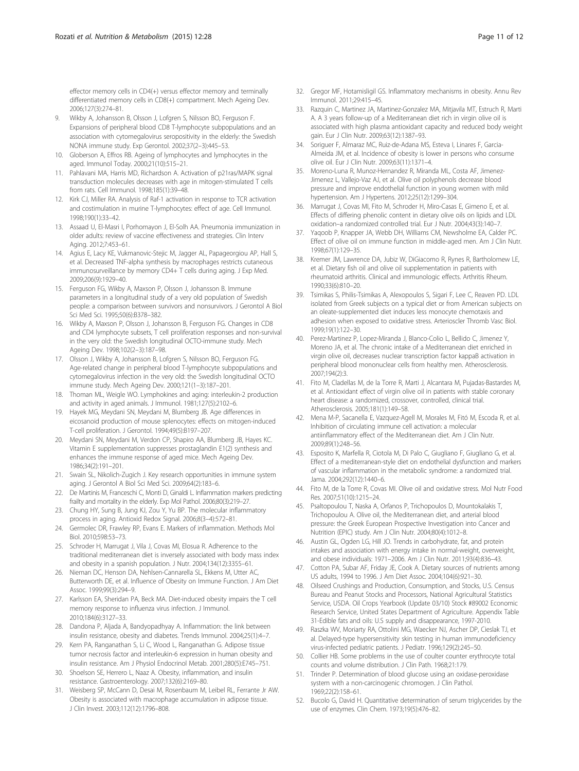<span id="page-10-0"></span>effector memory cells in CD4(+) versus effector memory and terminally differentiated memory cells in CD8(+) compartment. Mech Ageing Dev. 2006;127(3):274–81.

- 9. Wikby A, Johansson B, Olsson J, Lofgren S, Nilsson BO, Ferguson F. Expansions of peripheral blood CD8 T-lymphocyte subpopulations and an association with cytomegalovirus seropositivity in the elderly: the Swedish NONA immune study. Exp Gerontol. 2002;37(2–3):445–53.
- 10. Globerson A, Effros RB. Ageing of lymphocytes and lymphocytes in the aged. Immunol Today. 2000;21(10):515–21.
- 11. Pahlavani MA, Harris MD, Richardson A. Activation of p21ras/MAPK signal transduction molecules decreases with age in mitogen-stimulated T cells from rats. Cell Immunol. 1998;185(1):39–48.
- 12. Kirk CJ, Miller RA. Analysis of Raf-1 activation in response to TCR activation and costimulation in murine T-lymphocytes: effect of age. Cell Immunol. 1998;190(1):33–42.
- 13. Assaad U, El-Masri I, Porhomayon J, El-Solh AA. Pneumonia immunization in older adults: review of vaccine effectiveness and strategies. Clin Interv Aging. 2012;7:453–61.
- 14. Agius E, Lacy KE, Vukmanovic-Stejic M, Jagger AL, Papageorgiou AP, Hall S, et al. Decreased TNF-alpha synthesis by macrophages restricts cutaneous immunosurveillance by memory CD4+ T cells during aging. J Exp Med. 2009;206(9):1929–40.
- 15. Ferguson FG, Wikby A, Maxson P, Olsson J, Johansson B. Immune parameters in a longitudinal study of a very old population of Swedish people: a comparison between survivors and nonsurvivors. J Gerontol A Biol Sci Med Sci. 1995;50(6):B378–382.
- 16. Wikby A, Maxson P, Olsson J, Johansson B, Ferguson FG. Changes in CD8 and CD4 lymphocyte subsets, T cell proliferation responses and non-survival in the very old: the Swedish longitudinal OCTO-immune study. Mech Ageing Dev. 1998;102(2–3):187–98.
- 17. Olsson J, Wikby A, Johansson B, Lofgren S, Nilsson BO, Ferguson FG. Age-related change in peripheral blood T-lymphocyte subpopulations and cytomegalovirus infection in the very old: the Swedish longitudinal OCTO immune study. Mech Ageing Dev. 2000;121(1–3):187–201.
- 18. Thoman ML, Weigle WO. Lymphokines and aging: interleukin-2 production and activity in aged animals. J Immunol. 1981;127(5):2102–6.
- 19. Hayek MG, Meydani SN, Meydani M, Blumberg JB. Age differences in eicosanoid production of mouse splenocytes: effects on mitogen-induced T-cell proliferation. J Gerontol. 1994;49(5):B197–207.
- 20. Meydani SN, Meydani M, Verdon CP, Shapiro AA, Blumberg JB, Hayes KC. Vitamin E supplementation suppresses prostaglandin E1(2) synthesis and enhances the immune response of aged mice. Mech Ageing Dev. 1986;34(2):191–201.
- 21. Swain SL, Nikolich-Zugich J. Key research opportunities in immune system aging. J Gerontol A Biol Sci Med Sci. 2009;64(2):183–6.
- 22. De Martinis M, Franceschi C, Monti D, Ginaldi L. Inflammation markers predicting frailty and mortality in the elderly. Exp Mol Pathol. 2006;80(3):219–27.
- 23. Chung HY, Sung B, Jung KJ, Zou Y, Yu BP. The molecular inflammatory process in aging. Antioxid Redox Signal. 2006;8(3–4):572–81.
- 24. Germolec DR, Frawley RP, Evans E. Markers of inflammation. Methods Mol Biol. 2010;598:53–73.
- 25. Schroder H, Marrugat J, Vila J, Covas MI, Elosua R. Adherence to the traditional mediterranean diet is inversely associated with body mass index and obesity in a spanish population. J Nutr. 2004;134(12):3355–61.
- 26. Nieman DC, Henson DA, Nehlsen-Cannarella SL, Ekkens M, Utter AC, Butterworth DE, et al. Influence of Obesity on Immune Function. J Am Diet Assoc. 1999;99(3):294–9.
- 27. Karlsson EA, Sheridan PA, Beck MA. Diet-induced obesity impairs the T cell memory response to influenza virus infection. J Immunol. 2010;184(6):3127–33.
- 28. Dandona P, Aljada A, Bandyopadhyay A. Inflammation: the link between insulin resistance, obesity and diabetes. Trends Immunol. 2004;25(1):4–7.
- 29. Kern PA, Ranganathan S, Li C, Wood L, Ranganathan G. Adipose tissue tumor necrosis factor and interleukin-6 expression in human obesity and insulin resistance. Am J Physiol Endocrinol Metab. 2001;280(5):E745–751.
- 30. Shoelson SE, Herrero L, Naaz A. Obesity, inflammation, and insulin resistance. Gastroenterology. 2007;132(6):2169–80.
- 31. Weisberg SP, McCann D, Desai M, Rosenbaum M, Leibel RL, Ferrante Jr AW. Obesity is associated with macrophage accumulation in adipose tissue. J Clin Invest. 2003;112(12):1796–808.
- 32. Gregor MF, Hotamisligil GS. Inflammatory mechanisms in obesity. Annu Rev Immunol. 2011;29:415–45.
- 33. Razquin C, Martinez JA, Martinez-Gonzalez MA, Mitjavila MT, Estruch R, Marti A. A 3 years follow-up of a Mediterranean diet rich in virgin olive oil is associated with high plasma antioxidant capacity and reduced body weight gain. Eur J Clin Nutr. 2009;63(12):1387–93.
- 34. Soriguer F, Almaraz MC, Ruiz-de-Adana MS, Esteva I, Linares F, Garcia-Almeida JM, et al. Incidence of obesity is lower in persons who consume olive oil. Eur J Clin Nutr. 2009;63(11):1371–4.
- 35. Moreno-Luna R, Munoz-Hernandez R, Miranda ML, Costa AF, Jimenez-Jimenez L, Vallejo-Vaz AJ, et al. Olive oil polyphenols decrease blood pressure and improve endothelial function in young women with mild hypertension. Am J Hypertens. 2012;25(12):1299–304.
- 36. Marrugat J, Covas MI, Fito M, Schroder H, Miro-Casas E, Gimeno E, et al. Effects of differing phenolic content in dietary olive oils on lipids and LDL oxidation–a randomized controlled trial. Eur J Nutr. 2004;43(3):140–7.
- 37. Yaqoob P, Knapper JA, Webb DH, Williams CM, Newsholme EA, Calder PC. Effect of olive oil on immune function in middle-aged men. Am J Clin Nutr. 1998;67(1):129–35.
- 38. Kremer JM, Lawrence DA, Jubiz W, DiGiacomo R, Rynes R, Bartholomew LE, et al. Dietary fish oil and olive oil supplementation in patients with rheumatoid arthritis. Clinical and immunologic effects. Arthritis Rheum. 1990;33(6):810–20.
- 39. Tsimikas S, Philis-Tsimikas A, Alexopoulos S, Sigari F, Lee C, Reaven PD. LDL isolated from Greek subjects on a typical diet or from American subjects on an oleate-supplemented diet induces less monocyte chemotaxis and adhesion when exposed to oxidative stress. Arterioscler Thromb Vasc Biol. 1999;19(1):122–30.
- 40. Perez-Martinez P, Lopez-Miranda J, Blanco-Colio L, Bellido C, Jimenez Y, Moreno JA, et al. The chronic intake of a Mediterranean diet enriched in virgin olive oil, decreases nuclear transcription factor kappaB activation in peripheral blood mononuclear cells from healthy men. Atherosclerosis. 2007;194(2):3.
- 41. Fito M, Cladellas M, de la Torre R, Marti J, Alcantara M, Pujadas-Bastardes M, et al. Antioxidant effect of virgin olive oil in patients with stable coronary heart disease: a randomized, crossover, controlled, clinical trial. Atherosclerosis. 2005;181(1):149–58.
- 42. Mena M-P, Sacanella E, Vazquez-Agell M, Morales M, Fitó M, Escoda R, et al. Inhibition of circulating immune cell activation: a molecular antiinflammatory effect of the Mediterranean diet. Am J Clin Nutr. 2009;89(1):248–56.
- 43. Esposito K, Marfella R, Ciotola M, Di Palo C, Giugliano F, Giugliano G, et al. Effect of a mediterranean-style diet on endothelial dysfunction and markers of vascular inflammation in the metabolic syndrome: a randomized trial. Jama. 2004;292(12):1440–6.
- 44. Fito M, de la Torre R, Covas MI. Olive oil and oxidative stress. Mol Nutr Food Res. 2007;51(10):1215–24.
- 45. Psaltopoulou T, Naska A, Orfanos P, Trichopoulos D, Mountokalakis T, Trichopoulou A. Olive oil, the Mediterranean diet, and arterial blood pressure: the Greek European Prospective Investigation into Cancer and Nutrition (EPIC) study. Am J Clin Nutr. 2004;80(4):1012–8.
- 46. Austin GL, Ogden LG, Hill JO. Trends in carbohydrate, fat, and protein intakes and association with energy intake in normal-weight, overweight, and obese individuals: 1971–2006. Am J Clin Nutr. 2011;93(4):836–43.
- 47. Cotton PA, Subar AF, Friday JE, Cook A. Dietary sources of nutrients among US adults, 1994 to 1996. J Am Diet Assoc. 2004;104(6):921–30.
- 48. Oilseed Crushings and Production, Consumption, and Stocks, U.S. Census Bureau and Peanut Stocks and Processors, National Agricultural Statistics Service, USDA. Oil Crops Yearbook (Update 03/10) Stock #89002 Economic Research Service, United States Department of Agriculture. Appendix Table 31-Edible fats and oils: U.S supply and disappearance, 1997-2010.
- 49. Raszka WV, Moriarty RA, Ottolini MG, Waecker NJ, Ascher DP, Cieslak TJ, et al. Delayed-type hypersensitivity skin testing in human immunodeficiency virus-infected pediatric patients. J Pediatr. 1996;129(2):245–50.
- 50. Collier HB. Some problems in the use of coulter counter erythrocyte total counts and volume distribution. J Clin Path. 1968;21:179.
- 51. Trinder P. Determination of blood glucose using an oxidase-peroxidase system with a non-carcinogenic chromogen. J Clin Pathol. 1969;22(2):158–61.
- 52. Bucolo G, David H. Quantitative determination of serum triglycerides by the use of enzymes. Clin Chem. 1973;19(5):476–82.